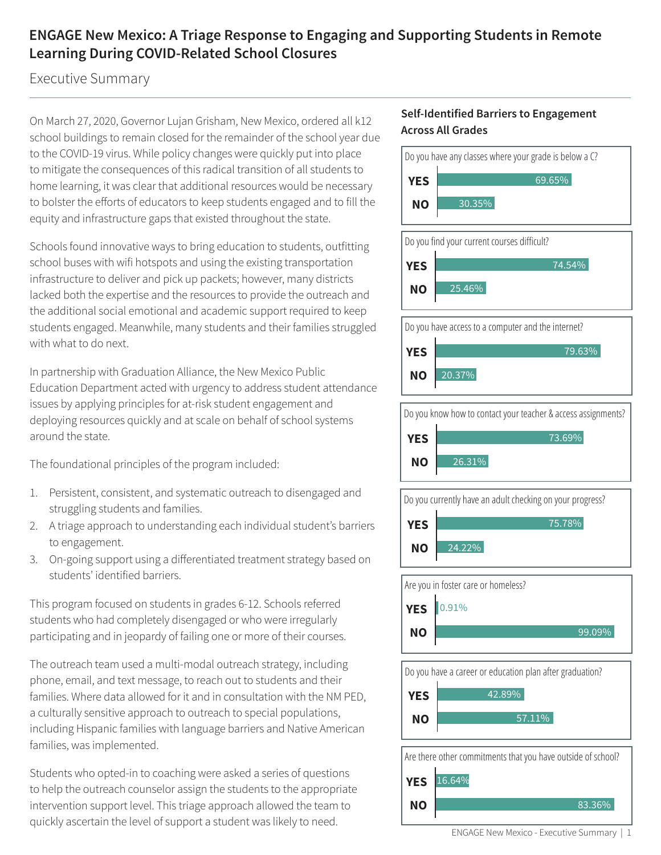# **ENGAGE New Mexico: A Triage Response to Engaging and Supporting Students in Remote Learning During COVID-Related School Closures**

Executive Summary

On March 27, 2020, Governor Lujan Grisham, New Mexico, ordered all k12 school buildings to remain closed for the remainder of the school year due to the COVID-19 virus. While policy changes were quickly put into place to mitigate the consequences of this radical transition of all students to home learning, it was clear that additional resources would be necessary to bolster the efforts of educators to keep students engaged and to fill the equity and infrastructure gaps that existed throughout the state.

Schools found innovative ways to bring education to students, outfitting school buses with wifi hotspots and using the existing transportation infrastructure to deliver and pick up packets; however, many districts lacked both the expertise and the resources to provide the outreach and the additional social emotional and academic support required to keep students engaged. Meanwhile, many students and their families struggled with what to do next.

In partnership with Graduation Alliance, the New Mexico Public Education Department acted with urgency to address student attendance issues by applying principles for at-risk student engagement and deploying resources quickly and at scale on behalf of school systems around the state.

The foundational principles of the program included:

- 1. Persistent, consistent, and systematic outreach to disengaged and struggling students and families.
- 2. A triage approach to understanding each individual student's barriers to engagement.
- 3. On-going support using a differentiated treatment strategy based on students' identified barriers.

This program focused on students in grades 6-12. Schools referred students who had completely disengaged or who were irregularly participating and in jeopardy of failing one or more of their courses.

The outreach team used a multi-modal outreach strategy, including phone, email, and text message, to reach out to students and their families. Where data allowed for it and in consultation with the NM PED, a culturally sensitive approach to outreach to special populations, including Hispanic families with language barriers and Native American families, was implemented.

Students who opted-in to coaching were asked a series of questions to help the outreach counselor assign the students to the appropriate intervention support level. This triage approach allowed the team to quickly ascertain the level of support a student was likely to need.

### **Self-Identified Barriers to Engagement Across All Grades**

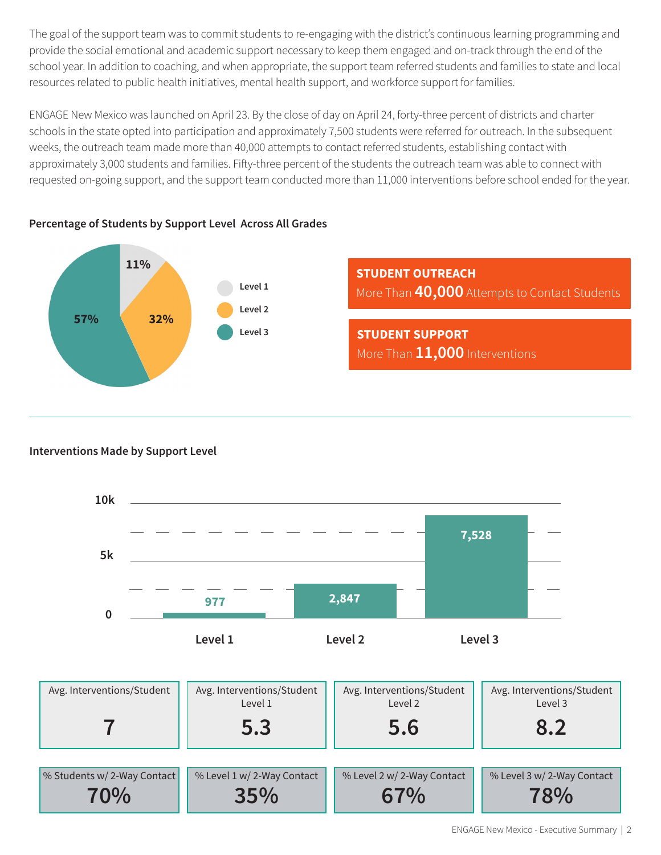The goal of the support team was to commit students to re-engaging with the district's continuous learning programming and provide the social emotional and academic support necessary to keep them engaged and on-track through the end of the school year. In addition to coaching, and when appropriate, the support team referred students and families to state and local resources related to public health initiatives, mental health support, and workforce support for families.

ENGAGE New Mexico was launched on April 23. By the close of day on April 24, forty-three percent of districts and charter schools in the state opted into participation and approximately 7,500 students were referred for outreach. In the subsequent weeks, the outreach team made more than 40,000 attempts to contact referred students, establishing contact with approximately 3,000 students and families. Fifty-three percent of the students the outreach team was able to connect with requested on-going support, and the support team conducted more than 11,000 interventions before school ended for the year.



# **Percentage of Students by Support Level Across All Grades**

## **Interventions Made by Support Level**